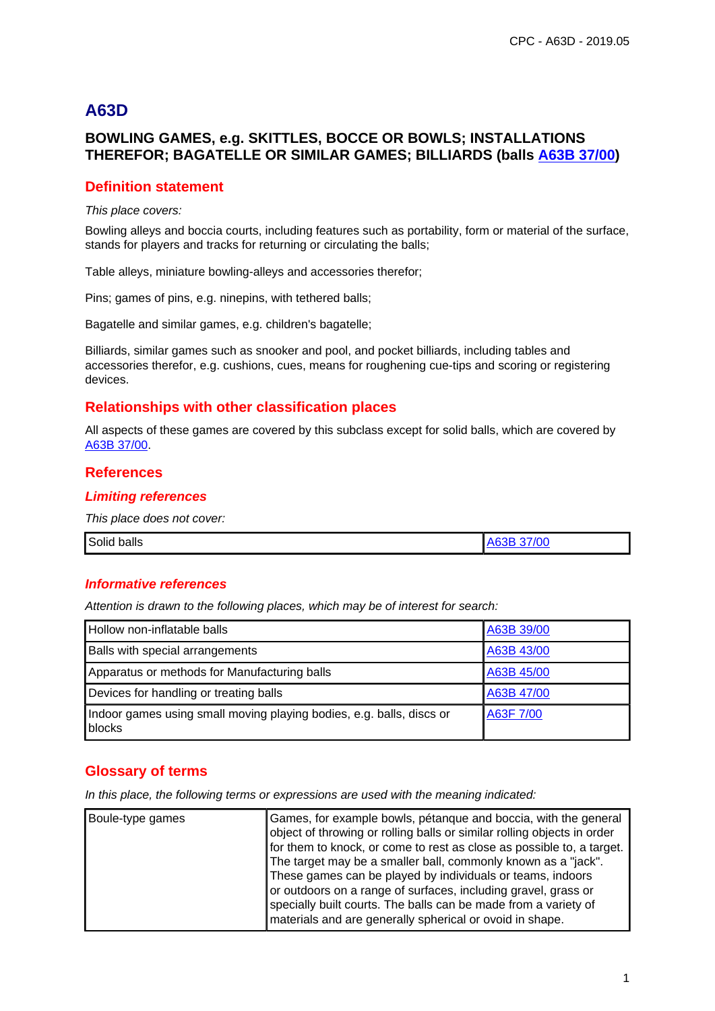# **A63D**

## **BOWLING GAMES, e.g. SKITTLES, BOCCE OR BOWLS; INSTALLATIONS THEREFOR; BAGATELLE OR SIMILAR GAMES; BILLIARDS (balls A63B 37/00)**

## **Definition statement**

This place covers:

Bowling alleys and boccia courts, including features such as portability, form or material of the surface, stands for players and tracks for returning or circulating the balls;

Table alleys, miniature bowling-alleys and accessories therefor;

Pins; games of pins, e.g. ninepins, with tethered balls;

Bagatelle and similar games, e.g. children's bagatelle;

Billiards, similar games such as snooker and pool, and pocket billiards, including tables and accessories therefor, e.g. cushions, cues, means for roughening cue-tips and scoring or registering devices.

## **Relationships with other classification places**

All aspects of these games are covered by this subclass except for solid balls, which are covered by A63B 37/00.

## **References**

### **Limiting references**

This place does not cover:

| ___ | Solid<br><br>balls | $\sqrt{2}$ |
|-----|--------------------|------------|
|-----|--------------------|------------|

#### **Informative references**

Attention is drawn to the following places, which may be of interest for search:

| Hollow non-inflatable balls                                                    | A63B 39/00 |
|--------------------------------------------------------------------------------|------------|
| Balls with special arrangements                                                | A63B 43/00 |
| Apparatus or methods for Manufacturing balls                                   | A63B 45/00 |
| Devices for handling or treating balls                                         | A63B 47/00 |
| Indoor games using small moving playing bodies, e.g. balls, discs or<br>blocks | A63F 7/00  |

## **Glossary of terms**

In this place, the following terms or expressions are used with the meaning indicated:

| Boule-type games | Games, for example bowls, pétanque and boccia, with the general<br>object of throwing or rolling balls or similar rolling objects in order<br>for them to knock, or come to rest as close as possible to, a target.<br>The target may be a smaller ball, commonly known as a "jack".<br>These games can be played by individuals or teams, indoors<br>or outdoors on a range of surfaces, including gravel, grass or<br>specially built courts. The balls can be made from a variety of |
|------------------|-----------------------------------------------------------------------------------------------------------------------------------------------------------------------------------------------------------------------------------------------------------------------------------------------------------------------------------------------------------------------------------------------------------------------------------------------------------------------------------------|
|                  | materials and are generally spherical or ovoid in shape.                                                                                                                                                                                                                                                                                                                                                                                                                                |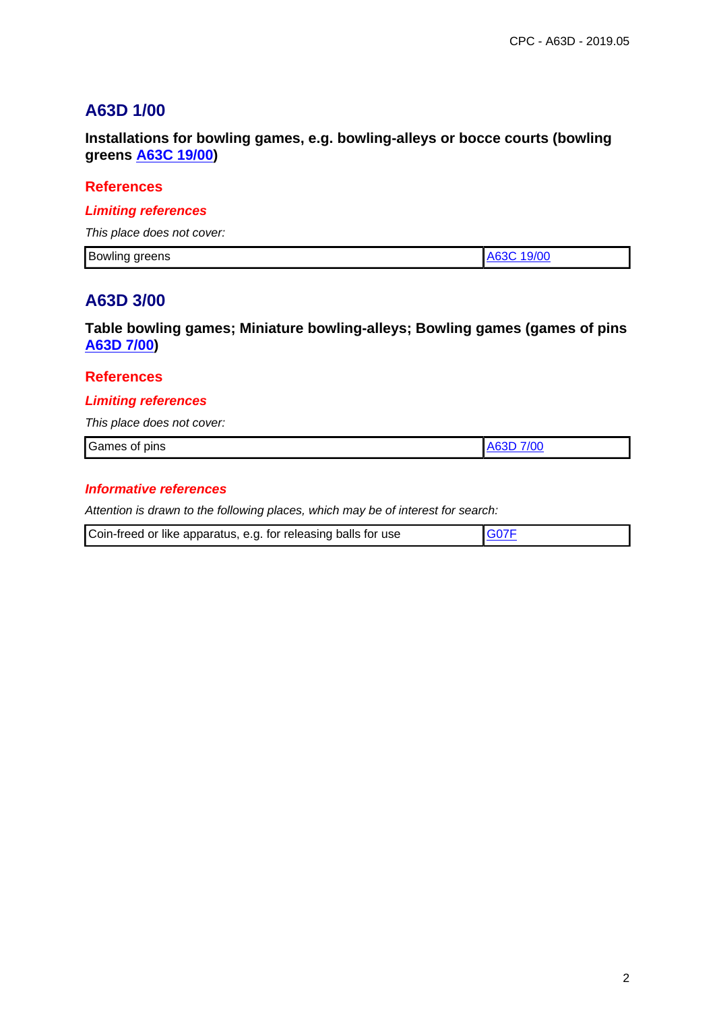# **A63D 1/00**

**Installations for bowling games, e.g. bowling-alleys or bocce courts (bowling greens A63C 19/00)**

## **References**

## **Limiting references**

This place does not cover:

| ה ו<br>Bowling greens<br>ັ | 9/00 |
|----------------------------|------|

## **A63D 3/00**

**Table bowling games; Miniature bowling-alleys; Bowling games (games of pins A63D 7/00)**

### **References**

### **Limiting references**

This place does not cover:

| $\sim$<br>Games<br>pins<br>___ | . . |
|--------------------------------|-----|
|                                |     |

### **Informative references**

| Coin-freed or like apparatus, e.g. for releasing balls for use | G07F |
|----------------------------------------------------------------|------|
|----------------------------------------------------------------|------|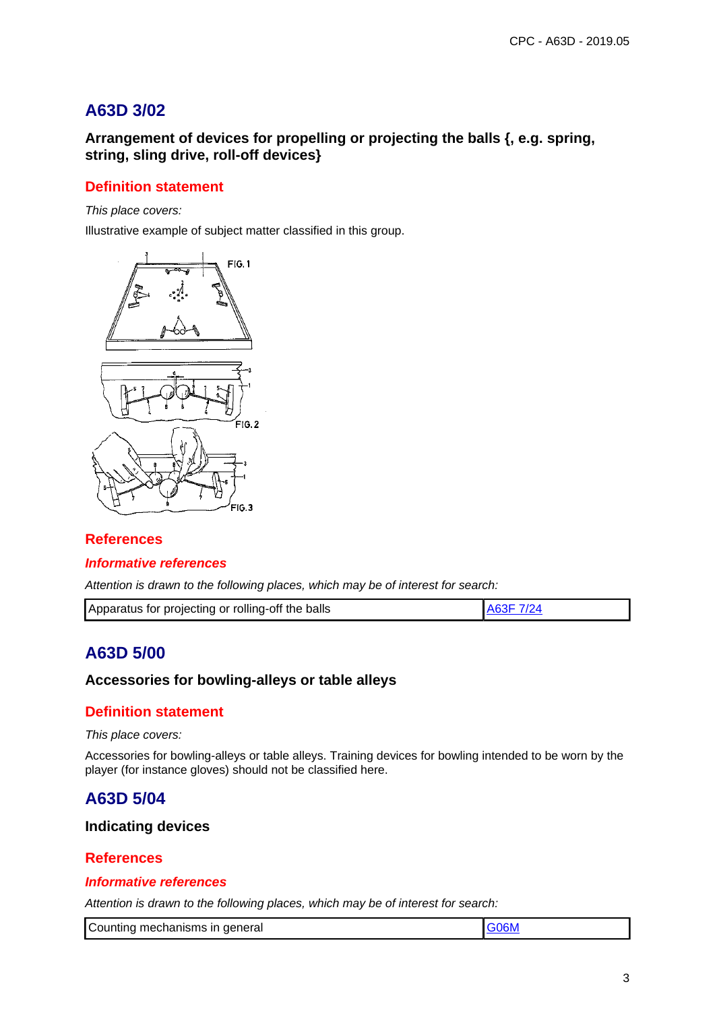# **A63D 3/02**

**Arrangement of devices for propelling or projecting the balls {, e.g. spring, string, sling drive, roll-off devices}**

## **Definition statement**

This place covers:

Illustrative example of subject matter classified in this group.



## **References**

#### **Informative references**

Attention is drawn to the following places, which may be of interest for search:

| Apparatus for projecting or rolling-off the balls | LA63F 7/24 |
|---------------------------------------------------|------------|
|---------------------------------------------------|------------|

# **A63D 5/00**

## **Accessories for bowling-alleys or table alleys**

## **Definition statement**

#### This place covers:

Accessories for bowling-alleys or table alleys. Training devices for bowling intended to be worn by the player (for instance gloves) should not be classified here.

## **A63D 5/04**

## **Indicating devices**

## **References**

#### **Informative references**

| Counting mechanisms in general |  |
|--------------------------------|--|
|--------------------------------|--|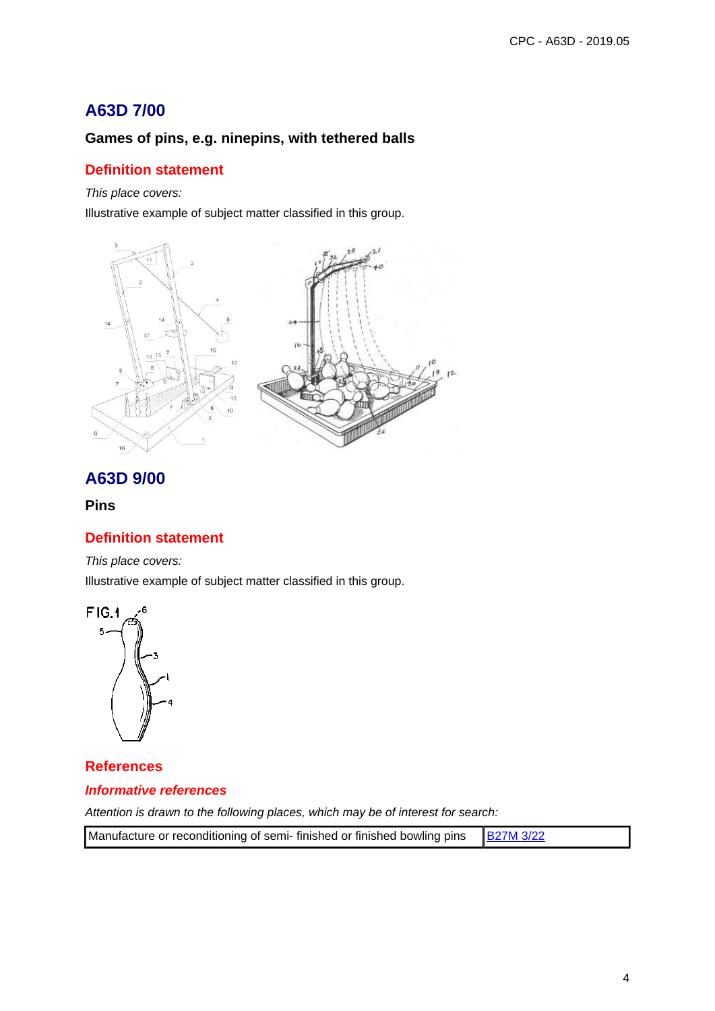# **A63D 7/00**

## **Games of pins, e.g. ninepins, with tethered balls**

## **Definition statement**

#### This place covers:

Illustrative example of subject matter classified in this group.



# **A63D 9/00**

### **Pins**

## **Definition statement**

This place covers:

Illustrative example of subject matter classified in this group.



**References Informative references**

| Manufacture or reconditioning of semi-finished or finished bowling pins   B27M 3/22 |  |
|-------------------------------------------------------------------------------------|--|
|-------------------------------------------------------------------------------------|--|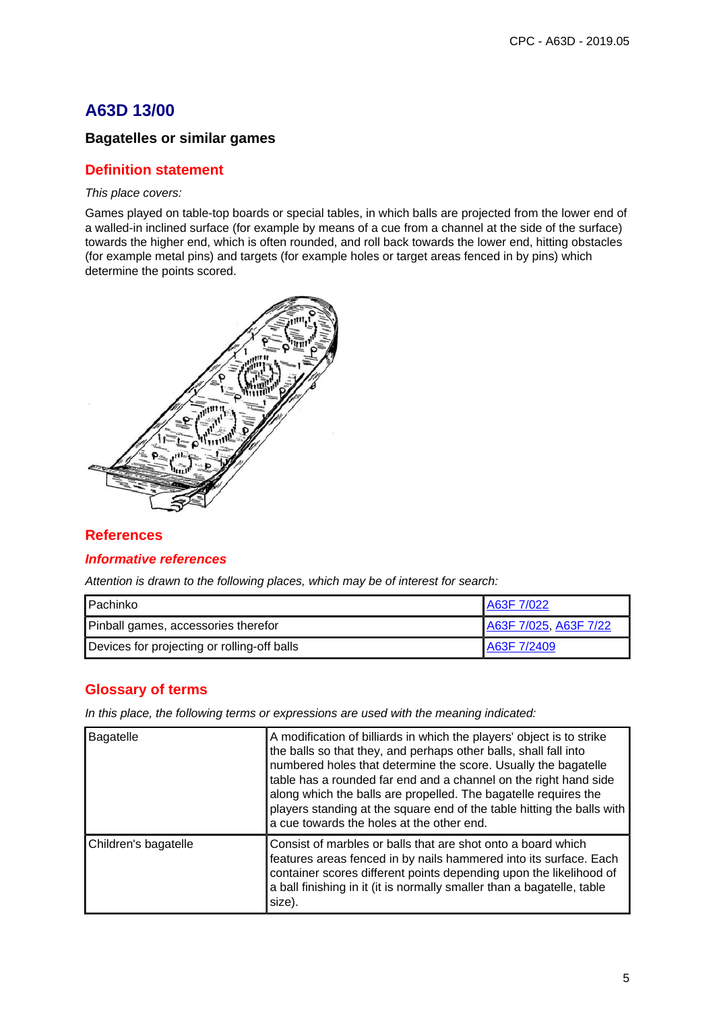# **A63D 13/00**

## **Bagatelles or similar games**

## **Definition statement**

#### This place covers:

Games played on table-top boards or special tables, in which balls are projected from the lower end of a walled-in inclined surface (for example by means of a cue from a channel at the side of the surface) towards the higher end, which is often rounded, and roll back towards the lower end, hitting obstacles (for example metal pins) and targets (for example holes or target areas fenced in by pins) which determine the points scored.



## **References**

## **Informative references**

Attention is drawn to the following places, which may be of interest for search:

| Pachinko                                    | A63F 7/022            |
|---------------------------------------------|-----------------------|
| Pinball games, accessories therefor         | A63F 7/025, A63F 7/22 |
| Devices for projecting or rolling-off balls | A63F 7/2409           |

## **Glossary of terms**

In this place, the following terms or expressions are used with the meaning indicated:

| Bagatelle            | A modification of billiards in which the players' object is to strike<br>the balls so that they, and perhaps other balls, shall fall into<br>numbered holes that determine the score. Usually the bagatelle<br>table has a rounded far end and a channel on the right hand side<br>along which the balls are propelled. The bagatelle requires the<br>players standing at the square end of the table hitting the balls with<br>a cue towards the holes at the other end. |
|----------------------|---------------------------------------------------------------------------------------------------------------------------------------------------------------------------------------------------------------------------------------------------------------------------------------------------------------------------------------------------------------------------------------------------------------------------------------------------------------------------|
| Children's bagatelle | Consist of marbles or balls that are shot onto a board which<br>features areas fenced in by nails hammered into its surface. Each<br>container scores different points depending upon the likelihood of<br>a ball finishing in it (it is normally smaller than a bagatelle, table<br>size).                                                                                                                                                                               |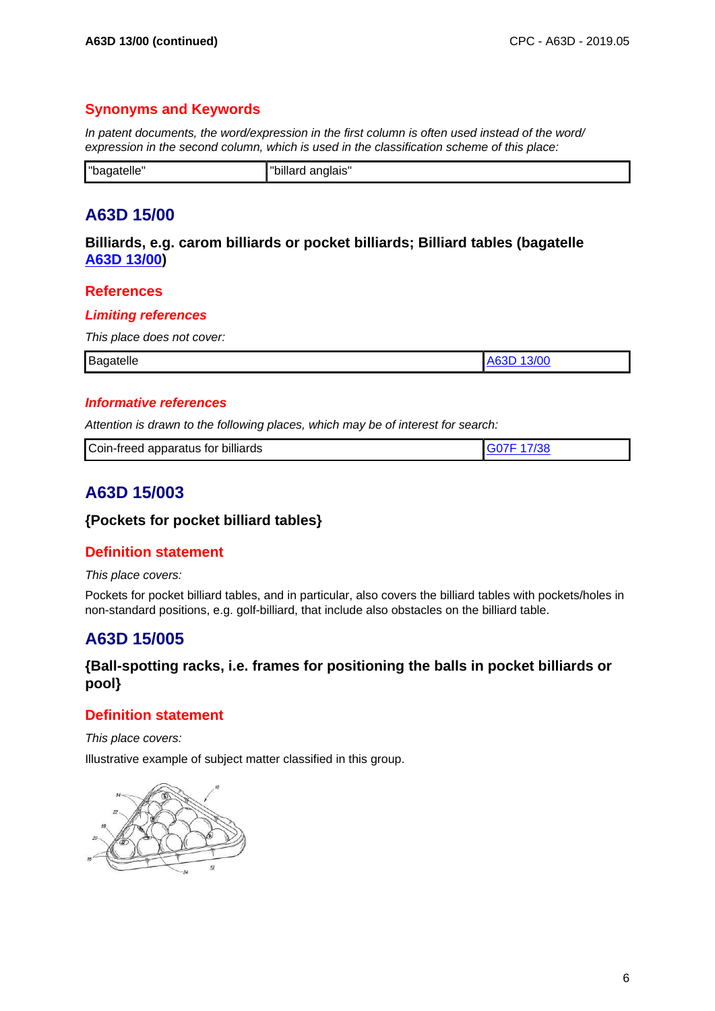## **Synonyms and Keywords**

In patent documents, the word/expression in the first column is often used instead of the word/ expression in the second column, which is used in the classification scheme of this place:

| "h≒.   | -ייי     |
|--------|----------|
| narene | anglais" |

# **A63D 15/00**

**Billiards, e.g. carom billiards or pocket billiards; Billiard tables (bagatelle A63D 13/00)**

## **References**

### **Limiting references**

This place does not cover:

| Bagatelle | w |
|-----------|---|
|           |   |

## **Informative references**

Attention is drawn to the following places, which may be of interest for search:

| Coin-freed apparatus for billiards |  |
|------------------------------------|--|
|                                    |  |

# **A63D 15/003**

## **{Pockets for pocket billiard tables}**

## **Definition statement**

This place covers:

Pockets for pocket billiard tables, and in particular, also covers the billiard tables with pockets/holes in non-standard positions, e.g. golf-billiard, that include also obstacles on the billiard table.

# **A63D 15/005**

## **{Ball-spotting racks, i.e. frames for positioning the balls in pocket billiards or pool}**

## **Definition statement**

This place covers:

Illustrative example of subject matter classified in this group.

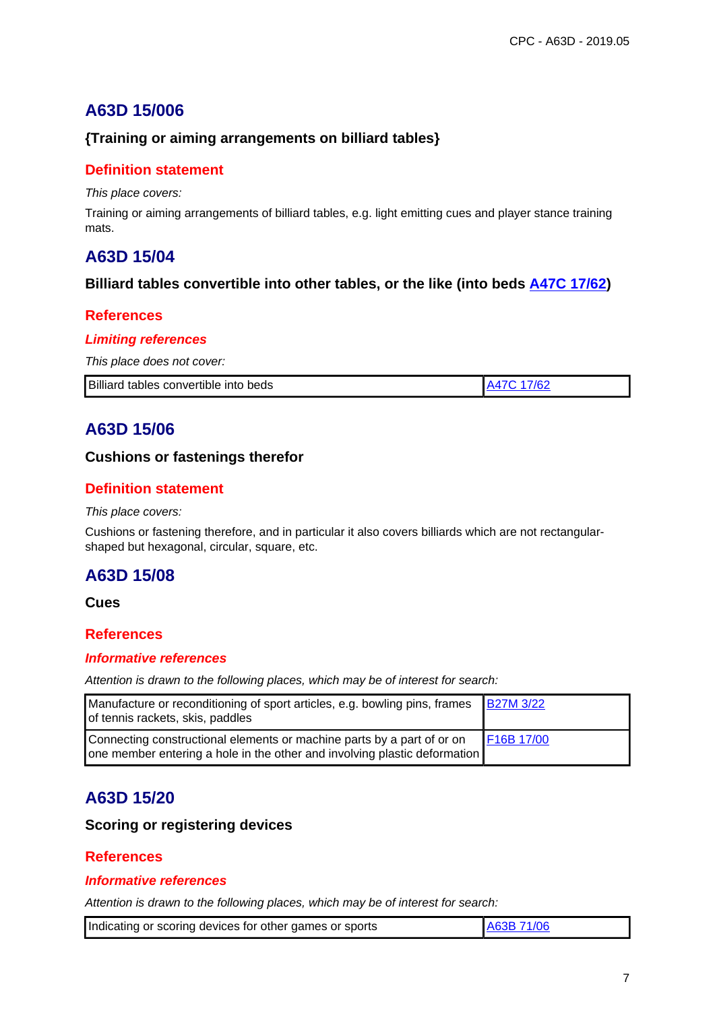# **A63D 15/006**

## **{Training or aiming arrangements on billiard tables}**

## **Definition statement**

This place covers:

Training or aiming arrangements of billiard tables, e.g. light emitting cues and player stance training mats.

## **A63D 15/04**

## **Billiard tables convertible into other tables, or the like (into beds A47C 17/62)**

## **References**

### **Limiting references**

This place does not cover:

| Billiard tables convertible into beds | A47C 17/62 |
|---------------------------------------|------------|

# **A63D 15/06**

## **Cushions or fastenings therefor**

## **Definition statement**

#### This place covers:

Cushions or fastening therefore, and in particular it also covers billiards which are not rectangularshaped but hexagonal, circular, square, etc.

# **A63D 15/08**

### **Cues**

## **References**

#### **Informative references**

Attention is drawn to the following places, which may be of interest for search:

| Manufacture or reconditioning of sport articles, e.g. bowling pins, frames<br>of tennis rackets, skis, paddles                                      | <b>B27M 3/22</b> |
|-----------------------------------------------------------------------------------------------------------------------------------------------------|------------------|
| Connecting constructional elements or machine parts by a part of or on<br>one member entering a hole in the other and involving plastic deformation | F16B 17/00       |

# **A63D 15/20**

## **Scoring or registering devices**

## **References**

#### **Informative references**

| Indicating or scoring devices for other games or sports | A63B 71/06 |
|---------------------------------------------------------|------------|
|---------------------------------------------------------|------------|